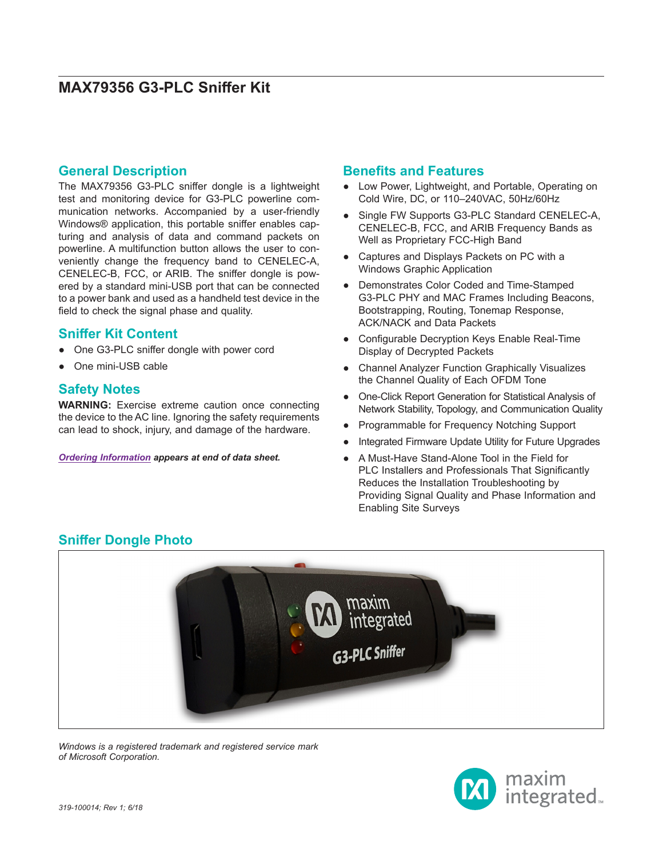### **General Description**

The MAX79356 G3-PLC sniffer dongle is a lightweight test and monitoring device for G3-PLC powerline communication networks. Accompanied by a user-friendly Windows® application, this portable sniffer enables capturing and analysis of data and command packets on powerline. A multifunction button allows the user to conveniently change the frequency band to CENELEC-A, CENELEC-B, FCC, or ARIB. The sniffer dongle is powered by a standard mini-USB port that can be connected to a power bank and used as a handheld test device in the field to check the signal phase and quality.

### **Sniffer Kit Content**

- One G3-PLC sniffer dongle with power cord
- One mini-USB cable

### **Safety Notes**

**WARNING:** Exercise extreme caution once connecting the device to the AC line. Ignoring the safety requirements can lead to shock, injury, and damage of the hardware.

*[Ordering Information](#page-4-0) appears at end of data sheet.*

### **Benefits and Features**

- Low Power, Lightweight, and Portable, Operating on Cold Wire, DC, or 110–240VAC, 50Hz/60Hz
- Single FW Supports G3-PLC Standard CENELEC-A, CENELEC-B, FCC, and ARIB Frequency Bands as Well as Proprietary FCC-High Band
- Captures and Displays Packets on PC with a Windows Graphic Application
- Demonstrates Color Coded and Time-Stamped G3-PLC PHY and MAC Frames Including Beacons, Bootstrapping, Routing, Tonemap Response, ACK/NACK and Data Packets
- Configurable Decryption Keys Enable Real-Time Display of Decrypted Packets
- **Channel Analyzer Function Graphically Visualizes** the Channel Quality of Each OFDM Tone
- One-Click Report Generation for Statistical Analysis of Network Stability, Topology, and Communication Quality
- Programmable for Frequency Notching Support
- Integrated Firmware Update Utility for Future Upgrades
- A Must-Have Stand-Alone Tool in the Field for PLC Installers and Professionals That Significantly Reduces the Installation Troubleshooting by Providing Signal Quality and Phase Information and Enabling Site Surveys

### **Sniffer Dongle Photo**



*Windows is a registered trademark and registered service mark of Microsoft Corporation.*

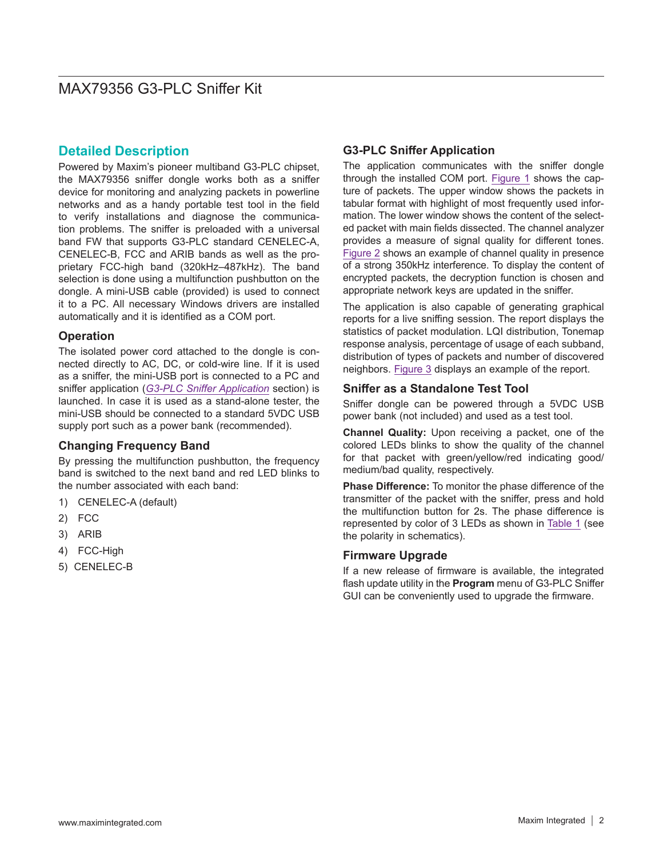### **Detailed Description**

Powered by Maxim's pioneer multiband G3-PLC chipset, the MAX79356 sniffer dongle works both as a sniffer device for monitoring and analyzing packets in powerline networks and as a handy portable test tool in the field to verify installations and diagnose the communication problems. The sniffer is preloaded with a universal band FW that supports G3-PLC standard CENELEC-A, CENELEC-B, FCC and ARIB bands as well as the proprietary FCC-high band (320kHz–487kHz). The band selection is done using a multifunction pushbutton on the dongle. A mini-USB cable (provided) is used to connect it to a PC. All necessary Windows drivers are installed automatically and it is identified as a COM port.

### **Operation**

The isolated power cord attached to the dongle is connected directly to AC, DC, or cold-wire line. If it is used as a sniffer, the mini-USB port is connected to a PC and sniffer application (*G3-PLC Sniffer Application* section) is launched. In case it is used as a stand-alone tester, the mini-USB should be connected to a standard 5VDC USB supply port such as a power bank (recommended).

### **Changing Frequency Band**

By pressing the multifunction pushbutton, the frequency band is switched to the next band and red LED blinks to the number associated with each band:

- 1) CENELEC-A (default)
- 2) FCC
- 3) ARIB
- 4) FCC-High
- 5) CENELEC-B

### **G3-PLC Sniffer Application**

The application communicates with the sniffer dongle through the installed COM port. Figure 1 shows the capture of packets. The upper window shows the packets in tabular format with highlight of most frequently used information. The lower window shows the content of the selected packet with main fields dissected. The channel analyzer provides a measure of signal quality for different tones. [Figure 2](#page-2-0) shows an example of channel quality in presence of a strong 350kHz interference. To display the content of encrypted packets, the decryption function is chosen and appropriate network keys are updated in the sniffer.

The application is also capable of generating graphical reports for a live sniffing session. The report displays the statistics of packet modulation. LQI distribution, Tonemap response analysis, percentage of usage of each subband, distribution of types of packets and number of discovered neighbors. [Figure 3](#page-3-0) displays an example of the report.

#### **Sniffer as a Standalone Test Tool**

Sniffer dongle can be powered through a 5VDC USB power bank (not included) and used as a test tool.

**Channel Quality:** Upon receiving a packet, one of the colored LEDs blinks to show the quality of the channel for that packet with green/yellow/red indicating good/ medium/bad quality, respectively.

**Phase Difference:** To monitor the phase difference of the transmitter of the packet with the sniffer, press and hold the multifunction button for 2s. The phase difference is represented by color of 3 LEDs as shown in [Table 1](#page-3-1) (see the polarity in schematics).

### **Firmware Upgrade**

If a new release of firmware is available, the integrated flash update utility in the **Program** menu of G3-PLC Sniffer GUI can be conveniently used to upgrade the firmware.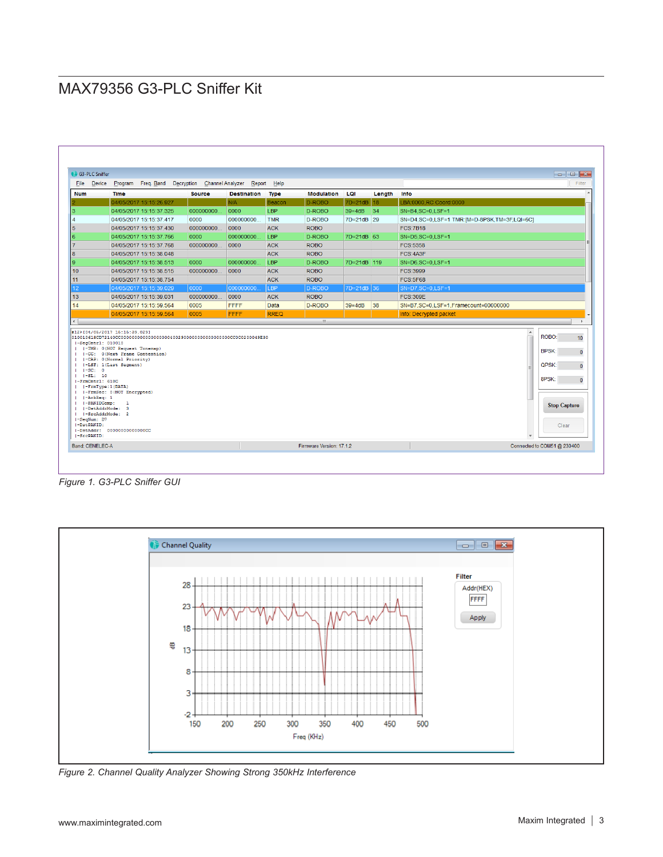| File<br>Device                                                                                                                    | Program Freq. Band Decryption Channel Analyzer                                                                                                                                                                                                                                                                                     |               |                    | Report Help   |                   |              |        | Filter                                                                                                                                                              |
|-----------------------------------------------------------------------------------------------------------------------------------|------------------------------------------------------------------------------------------------------------------------------------------------------------------------------------------------------------------------------------------------------------------------------------------------------------------------------------|---------------|--------------------|---------------|-------------------|--------------|--------|---------------------------------------------------------------------------------------------------------------------------------------------------------------------|
| <b>Num</b>                                                                                                                        | <b>Time</b>                                                                                                                                                                                                                                                                                                                        | <b>Source</b> | <b>Destination</b> | <b>Type</b>   | <b>Modulation</b> | LOI          | Lenath | Info                                                                                                                                                                |
|                                                                                                                                   | 04/05/2017 15:15:26.927                                                                                                                                                                                                                                                                                                            |               | N/A                | <b>Beacon</b> | D-ROBO            | 7D=21dB 18   |        | LBA:0000,RC Coord:0000                                                                                                                                              |
|                                                                                                                                   | 04/05/2017 15:15:37.325                                                                                                                                                                                                                                                                                                            | 000000000     | 0000               | LBP           | D-ROBO            | $39 = 4dB$   | 34     | SN=B4.SC=0.LSF=1                                                                                                                                                    |
|                                                                                                                                   | 04/05/2017 15:15:37.417                                                                                                                                                                                                                                                                                                            | 0000          | 000000000          | <b>TMR</b>    | D-ROBO            | 7D=21dB 29   |        | SN=D4,SC=0,LSF=1 TMR:[M=D-8PSK,TM=3F,LQI=6C]                                                                                                                        |
|                                                                                                                                   | 04/05/2017 15:15:37.430                                                                                                                                                                                                                                                                                                            | 000000000     | 0000               | <b>ACK</b>    | <b>ROBO</b>       |              |        | <b>FCS:7B18</b>                                                                                                                                                     |
|                                                                                                                                   | 04/05/2017 15:15:37 766                                                                                                                                                                                                                                                                                                            | 0000          | 000000000          | <b>LBP</b>    | D-ROBO            | 7D=21dB 63   |        | $SN = D5 SC = 0 I SF = 1$                                                                                                                                           |
|                                                                                                                                   | 04/05/2017 15:15:37.768                                                                                                                                                                                                                                                                                                            | 000000000     | 0000               | <b>ACK</b>    | <b>ROBO</b>       |              |        | FCS:5358                                                                                                                                                            |
|                                                                                                                                   | 04/05/2017 15:15:38.048                                                                                                                                                                                                                                                                                                            |               |                    | <b>ACK</b>    | <b>ROBO</b>       |              |        | FCS:4A3F                                                                                                                                                            |
|                                                                                                                                   | 04/05/2017 15:15:38.513                                                                                                                                                                                                                                                                                                            | 0000          | 000000000          | LBP           | D-ROBO            | 7D=21dB 119  |        | SN=D6.SC=0.LSF=1                                                                                                                                                    |
|                                                                                                                                   | 04/05/2017 15:15:38.515                                                                                                                                                                                                                                                                                                            | 000000000     | 0000               | <b>ACK</b>    | <b>ROBO</b>       |              |        | FCS:3999                                                                                                                                                            |
|                                                                                                                                   | 04/05/2017 15:15:38.754                                                                                                                                                                                                                                                                                                            |               |                    | <b>ACK</b>    | <b>ROBO</b>       |              |        | <b>FCS:5F68</b>                                                                                                                                                     |
|                                                                                                                                   | 04/05/2017 15:15:39.029                                                                                                                                                                                                                                                                                                            | 0000          | 000000000          | I BP          | D-ROBO            | $7D=21dB$ 36 |        | SN=D7.SC=0.LSF=1                                                                                                                                                    |
|                                                                                                                                   | 04/05/2017 15:15:39 031                                                                                                                                                                                                                                                                                                            | 000000000     | 0000               | <b>ACK</b>    | <b>ROBO</b>       |              |        | <b>FCS:309E</b>                                                                                                                                                     |
|                                                                                                                                   | 04/05/2017 15:15:59.564                                                                                                                                                                                                                                                                                                            | 0005          | FFFF               | Data          | D-ROBO            | $39 = 4dB$   | 38     | SN=B7.SC=0.LSF=1.Framecount=00000000                                                                                                                                |
|                                                                                                                                   | 04/05/2017 15:15:59.564                                                                                                                                                                                                                                                                                                            | 0005          | <b>FFFF</b>        | <b>RREQ</b>   |                   |              |        | Info: Decrypted packet                                                                                                                                              |
| $\leftarrow$                                                                                                                      |                                                                                                                                                                                                                                                                                                                                    |               |                    |               | $\mathbf{H}$ .    |              |        |                                                                                                                                                                     |
| $  -   = SC: 0$<br>$1 - 1 - SL: 10$<br>-FrmCntrl: 618C<br>$   $ $ \lambda$ ckReq: 1<br>-SegNum: D7<br>I-DstPANID:<br>$I-SrcPAND:$ | #12>[04/05/2017 15:15:39.029]<br>$ -SeqCntr1: 010010$<br>   -TMR: 0(NOT Request Tonemap)<br>1-CC: 0 (Next Frame Contention)<br>(-CAP: 0(Normal Priority)<br>(-LSF: 1(Last Segment)<br>   -FrmType:1(DATA)<br>(-FrmSec: 0(NOT Encrypted)<br> -PANIDComp: 1<br>I-DstAddrMode: 3<br>   -SrcAddrMode: 2<br>I-DstAddr: 00000000000000CC |               |                    |               |                   |              |        | $\overline{\phantom{a}}$<br>ROBO:<br>10 <sup>10</sup><br><b>BPSK:</b><br>$\mathbf{0}$<br>QPSK:<br>$\Omega$<br>8PSK:<br>$\mathbf{0}$<br><b>Stop Capture</b><br>Clear |

*Figure 1. G3-PLC Sniffer GUI*

<span id="page-2-0"></span>

*Figure 2. Channel Quality Analyzer Showing Strong 350kHz Interference*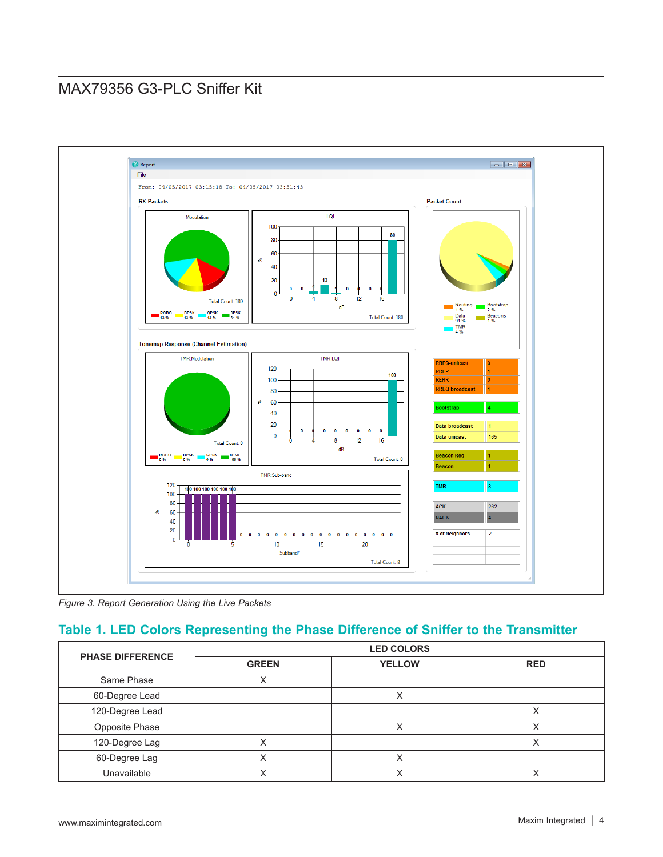<span id="page-3-0"></span>

*Figure 3. Report Generation Using the Live Packets*

### <span id="page-3-1"></span>**Table 1. LED Colors Representing the Phase Difference of Sniffer to the Transmitter**

| <b>PHASE DIFFERENCE</b> | <b>LED COLORS</b> |               |            |  |  |
|-------------------------|-------------------|---------------|------------|--|--|
|                         | <b>GREEN</b>      | <b>YELLOW</b> | <b>RED</b> |  |  |
| Same Phase              | х                 |               |            |  |  |
| 60-Degree Lead          |                   | Χ             |            |  |  |
| 120-Degree Lead         |                   |               |            |  |  |
| Opposite Phase          |                   | Χ             |            |  |  |
| 120-Degree Lag          |                   |               |            |  |  |
| 60-Degree Lag           |                   |               |            |  |  |
| Unavailable             |                   |               |            |  |  |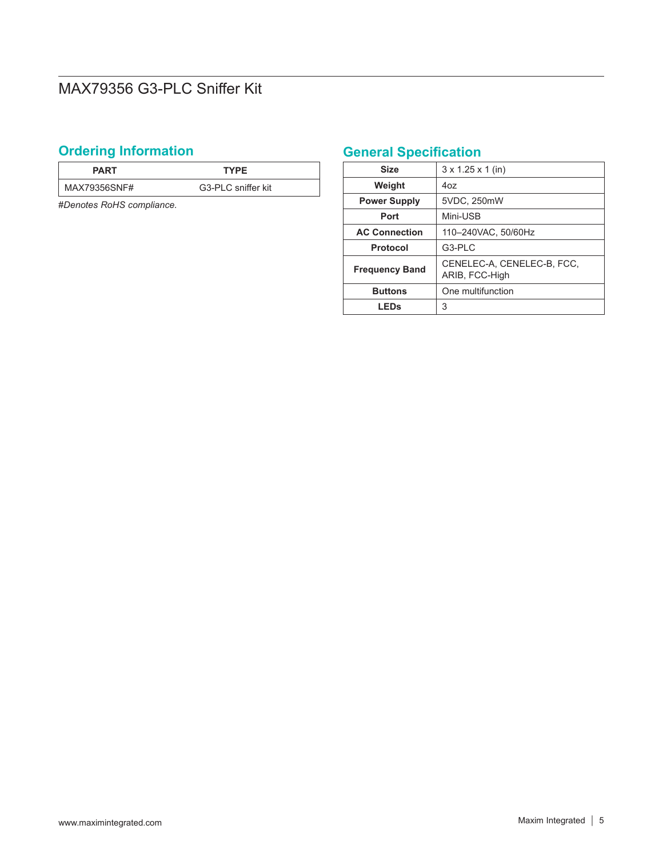# <span id="page-4-0"></span>**Ordering Information**

| <b>PART</b>  | <b>TYPF</b>        |
|--------------|--------------------|
| MAX79356SNF# | G3-PLC sniffer kit |

#*Denotes RoHS compliance.*

# **General Specification**

| <b>Size</b>           | $3 \times 1.25 \times 1$ (in)                |
|-----------------------|----------------------------------------------|
| Weight                | 407                                          |
| <b>Power Supply</b>   | 5VDC, 250mW                                  |
| Port                  | Mini-USB                                     |
| <b>AC Connection</b>  | 110-240VAC, 50/60Hz                          |
| <b>Protocol</b>       | G3-PLC                                       |
| <b>Frequency Band</b> | CENELEC-A, CENELEC-B, FCC,<br>ARIB, FCC-High |
| <b>Buttons</b>        | One multifunction                            |
| <b>LEDs</b>           | 3                                            |
|                       |                                              |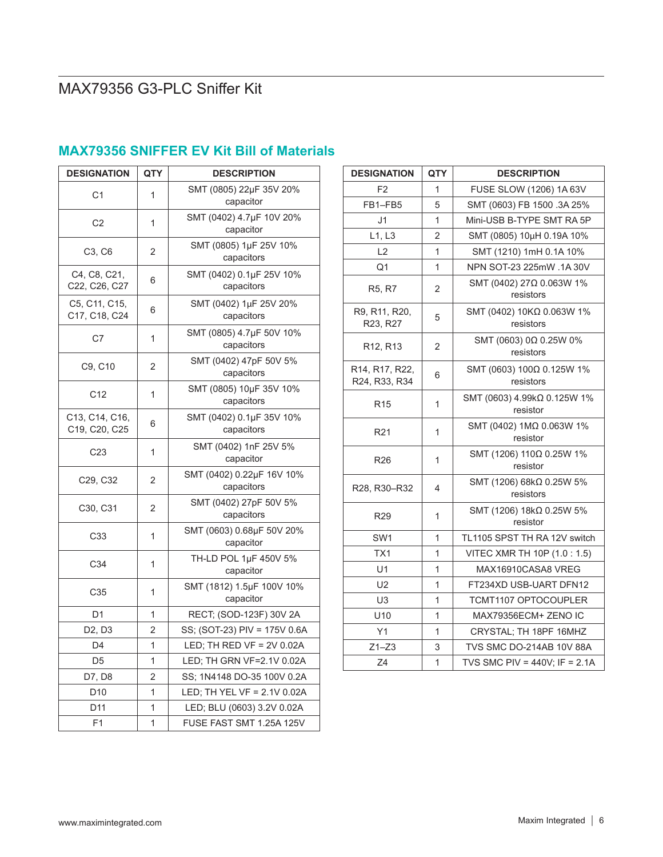| <b>DESIGNATION</b>                | QTY            | <b>DESCRIPTION</b>                      |
|-----------------------------------|----------------|-----------------------------------------|
| C <sub>1</sub>                    | 1              | SMT (0805) 22µF 35V 20%<br>capacitor    |
| C <sub>2</sub>                    | 1              | SMT (0402) 4.7µF 10V 20%<br>capacitor   |
| C3, C6                            | 2              | SMT (0805) 1µF 25V 10%<br>capacitors    |
| C4, C8, C21,<br>C22, C26, C27     | 6              | SMT (0402) 0.1µF 25V 10%<br>capacitors  |
| C5, C11, C15,<br>C17, C18, C24    | 6              | SMT (0402) 1µF 25V 20%<br>capacitors    |
| C7                                | 1              | SMT (0805) 4.7µF 50V 10%<br>capacitors  |
| C9, C10                           | 2              | SMT (0402) 47pF 50V 5%<br>capacitors    |
| C12                               | 1              | SMT (0805) 10µF 35V 10%<br>capacitors   |
| C13, C14, C16,<br>C19, C20, C25   | 6              | SMT (0402) 0.1µF 35V 10%<br>capacitors  |
| C <sub>23</sub>                   | 1              | SMT (0402) 1nF 25V 5%<br>capacitor      |
| C <sub>29</sub> , C <sub>32</sub> | 2              | SMT (0402) 0.22µF 16V 10%<br>capacitors |
| C30, C31                          | 2              | SMT (0402) 27pF 50V 5%<br>capacitors    |
| C33                               | 1              | SMT (0603) 0.68µF 50V 20%<br>capacitor  |
| C34                               | 1              | TH-LD POL 1µF 450V 5%<br>capacitor      |
| C35                               | 1              | SMT (1812) 1.5µF 100V 10%<br>capacitor  |
| D <sub>1</sub>                    | 1              | RECT; (SOD-123F) 30V 2A                 |
| D <sub>2</sub> , D <sub>3</sub>   | 2              | SS; (SOT-23) PIV = 175V 0.6A            |
| D4                                | 1              | LED; TH RED VF = $2V 0.02A$             |
| D <sub>5</sub>                    | 1              | LED; TH GRN VF=2.1V 0.02A               |
| D7, D8                            | 2              | SS; 1N4148 DO-35 100V 0.2A              |
| D <sub>10</sub>                   | 1              | LED; TH YEL VF = 2.1V 0.02A             |
| D11                               | 1              | LED; BLU (0603) 3.2V 0.02A              |
| F1                                | $\overline{1}$ | FUSE FAST SMT 1.25A 125V                |

## **MAX79356 SNIFFER EV Kit Bill of Materials**

| <b>DESIGNATION</b>                | QTY            | <b>DESCRIPTION</b>                      |  |  |
|-----------------------------------|----------------|-----------------------------------------|--|--|
| F <sub>2</sub>                    | 1              | FUSE SLOW (1206) 1A 63V                 |  |  |
| FB1-FB5                           | 5              | SMT (0603) FB 1500 .3A 25%              |  |  |
| J <sub>1</sub>                    | 1              | Mini-USB B-TYPE SMT RA 5P               |  |  |
| L1, L3                            | $\overline{2}$ | SMT (0805) 10µH 0.19A 10%               |  |  |
| L <sub>2</sub>                    | 1              | SMT (1210) 1mH 0.1A 10%                 |  |  |
| Q1                                | 1              | NPN SOT-23 225mW .1A 30V                |  |  |
| R <sub>5</sub> , R <sub>7</sub>   | 2              | SMT (0402) 27Ω 0.063W 1%<br>resistors   |  |  |
| R9, R11, R20,<br>R23, R27         | 5              | SMT (0402) 10ΚΩ 0.063W 1%<br>resistors  |  |  |
| R <sub>12</sub> , R <sub>13</sub> | 2              | SMT (0603) 0Ω 0.25W 0%<br>resistors     |  |  |
| R14, R17, R22,<br>R24, R33, R34   | 6              | SMT (0603) 100Ω 0.125W 1%<br>resistors  |  |  |
| R <sub>15</sub>                   | 1              | SMT (0603) 4.99kΩ 0.125W 1%<br>resistor |  |  |
| R <sub>21</sub>                   | 1              | SMT (0402) 1ΜΩ 0.063W 1%<br>resistor    |  |  |
| R <sub>26</sub>                   | 1              | SMT (1206) 110Ω 0.25W 1%<br>resistor    |  |  |
| R28, R30-R32                      | 4              | SMT (1206) 68kΩ 0.25W 5%<br>resistors   |  |  |
| R <sub>29</sub>                   | 1              | SMT (1206) 18kΩ 0.25W 5%<br>resistor    |  |  |
| SW <sub>1</sub>                   | 1              | TL1105 SPST TH RA 12V switch            |  |  |
| TX1                               | 1              | VITEC XMR TH 10P (1.0 : 1.5)            |  |  |
| U1                                | 1              | MAX16910CASA8 VREG                      |  |  |
| U2                                | 1              | FT234XD USB-UART DFN12                  |  |  |
| U <sub>3</sub>                    | 1              | TCMT1107 OPTOCOUPLER                    |  |  |
| U10                               | 1              | MAX79356ECM+ ZENO IC                    |  |  |
| Y1                                | 1              | CRYSTAL; TH 18PF 16MHZ                  |  |  |
| $Z1 - Z3$                         | 3              | TVS SMC DO-214AB 10V 88A                |  |  |
| Z4                                | $\mathbf{1}$   | TVS SMC PIV = $440V$ ; IF = 2.1A        |  |  |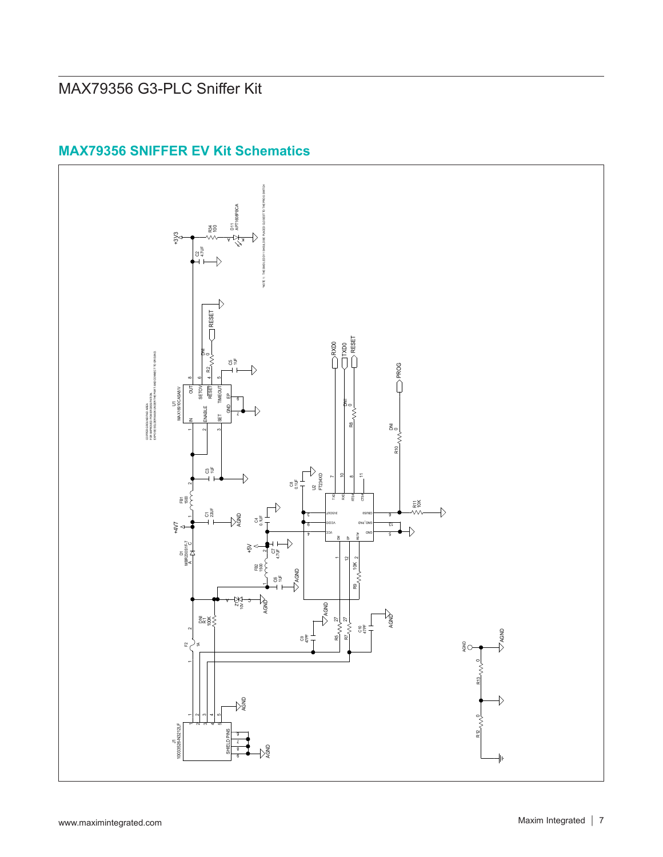

## **MAX79356 SNIFFER EV Kit Schematics**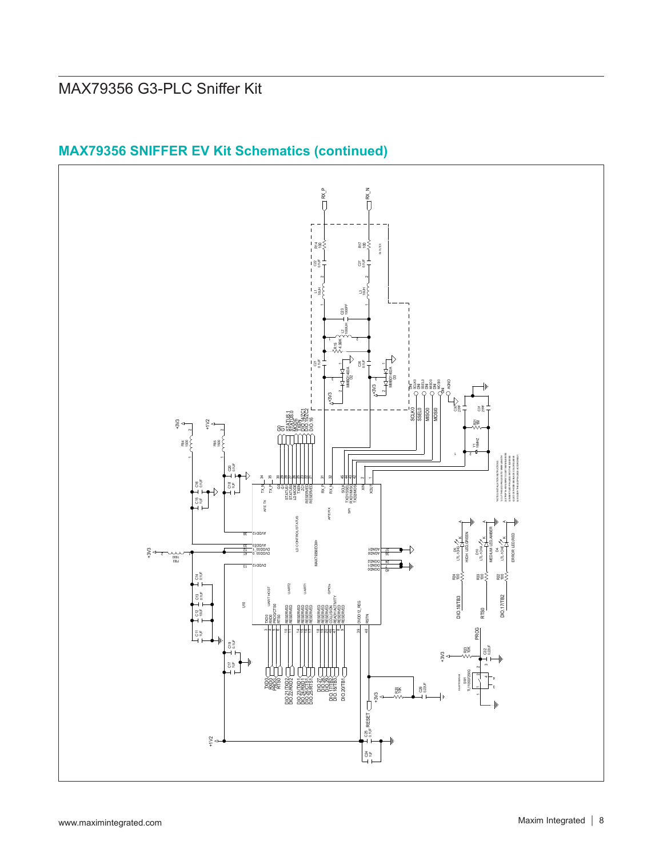

## **MAX79356 SNIFFER EV Kit Schematics (continued)**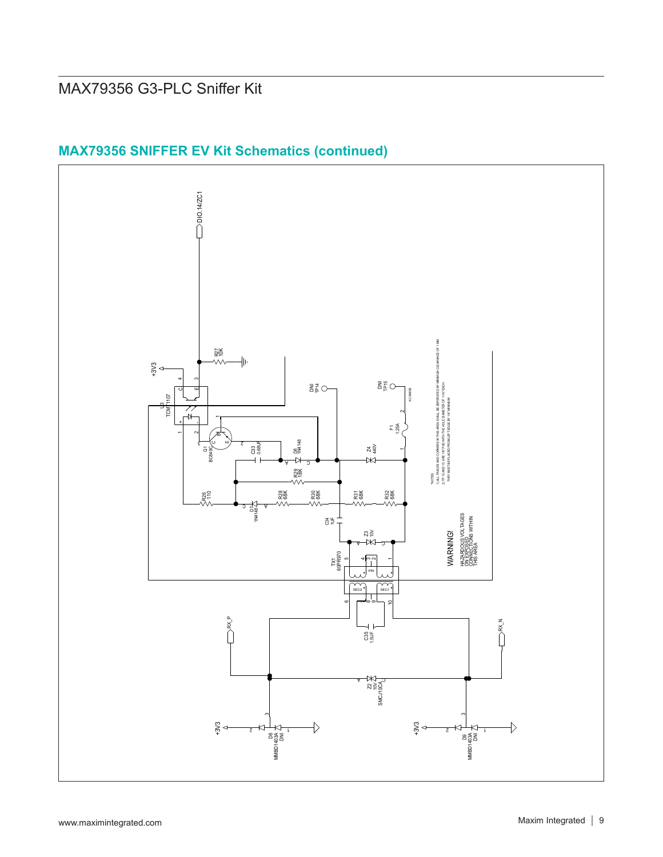

## **MAX79356 SNIFFER EV Kit Schematics (continued)**